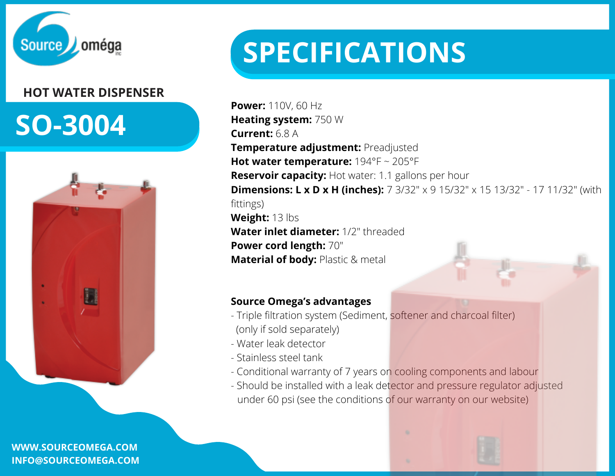

### **HOT WATER DISPENSER**

## **SO-3004**



**WWW.SOURCEOMEGA.COM INFO@SOURCEOMEGA.COM**

# **SPECIFICATIONS**

**Power:** 110V, 60 Hz **Heating system:** 750 W **Current:** 6.8 A **Temperature adjustment:** Preadjusted **Hot water temperature:** 194°F ~ 205°F **Reservoir capacity:** Hot water: 1.1 gallons per hour **Dimensions: L x D x H (inches):** 7 3/32" x 9 15/32" x 15 13/32" - 17 11/32" (with fittings) **Weight:** 13 lbs **Water inlet diameter:** 1/2" threaded **Power cord length:** 70" **Material of body:** Plastic & metal

#### **Source Omega's advantages**

- Triple [filtration](https://sourceomega.com/en/filtration-system/) system (Sediment, softener and charcoal filter) (only if sold separately)
- Water leak detector
- Stainless steel tank
- Conditional warranty of 7 years on cooling components and labour
- Should be installed with a leak detector and pressure regulator adjusted under 60 psi (see the conditions of our warranty on our website)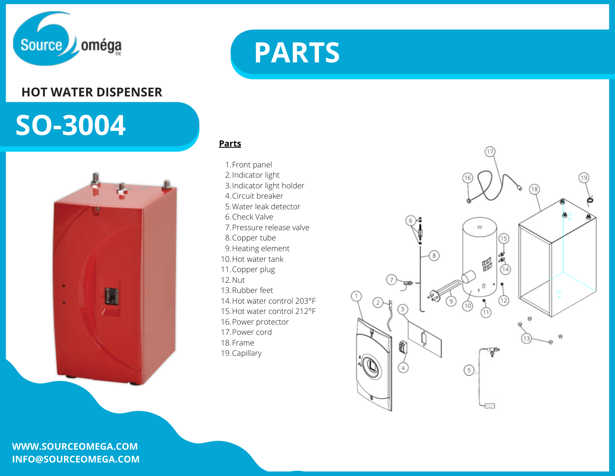

#### **HOT WATER DISPENSER**

## **SO-3004**



#### **WWW.SOURCEOMEGA.COM INFO@SOURCEOMEGA.COM**



**Parts**

1. Front panel 2.Indicator light 3. Indicator light holder 4. Circuit breaker Water leak detector 5. 6. Check Valve Pressure release valve 7. 8. Copper tube 9. Heating element 10. Hot water tank 11. Copper plug 12. Nut 13. Rubber feet 14. Hot water control 203°F 15. Hot water control 212°F 16. Power protector 17. Power cord 18. Frame 19. Capillary